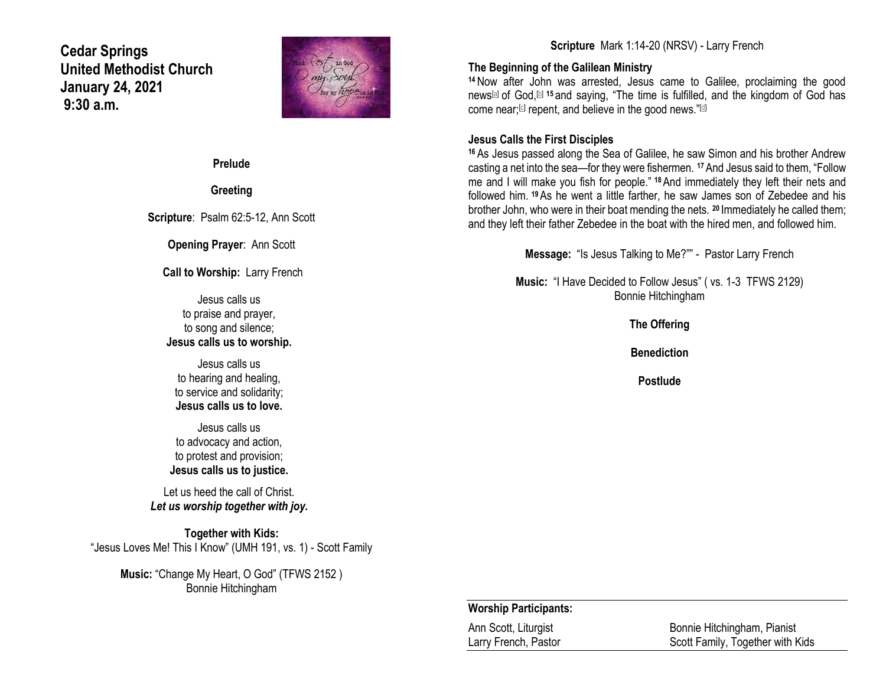**Cedar Springs United Methodist Church January 24, 2021 9:30 a.m.**



**Prelude**

**Greeting**

**Scripture**: Psalm 62:5-12, Ann Scott

**Opening Prayer**: Ann Scott

**Call to Worship:** Larry French

Jesus calls us to praise and prayer, to song and silence; **Jesus calls us to worship.**

Jesus calls us to hearing and healing, to service and solidarity; **Jesus calls us to love.**

Jesus calls us to advocacy and action, to protest and provision; **Jesus calls us to justice.**

Let us heed the call of Christ. *Let us worship together with joy.*

**Together with Kids:** "Jesus Loves Me! This I Know" (UMH 191, vs. 1) - Scott Family

> **Music:** "Change My Heart, O God" (TFWS 2152 ) Bonnie Hitchingham

# **Scripture** Mark 1:14-20 (NRSV) - Larry French

## **The Beginning of the Galilean Ministry**

**<sup>14</sup>**Now after John was arrested, Jesus came to Galilee, proclaiming the good news[\[a\]](https://www.biblegateway.com/passage/?search=Mark+1%3A14-20&version=NRSV#fen-NRSV-24227a) of God,[\[b\]](https://www.biblegateway.com/passage/?search=Mark+1%3A14-20&version=NRSV#fen-NRSV-24227b) **<sup>15</sup>** and saying, "The time is fulfilled, and the kingdom of God has come near;<sup>[\[c\]](https://www.biblegateway.com/passage/?search=Mark+1%3A14-20&version=NRSV#fen-NRSV-24228c)</sup> repent, and believe in the good news."<sup>[\[d\]](https://www.biblegateway.com/passage/?search=Mark+1%3A14-20&version=NRSV#fen-NRSV-24228d)</sup>

## **Jesus Calls the First Disciples**

**<sup>16</sup>** As Jesus passed along the Sea of Galilee, he saw Simon and his brother Andrew casting a net into the sea—for they were fishermen. **<sup>17</sup>**And Jesus said to them, "Follow me and I will make you fish for people." **<sup>18</sup>**And immediately they left their nets and followed him. **<sup>19</sup>**As he went a little farther, he saw James son of Zebedee and his brother John, who were in their boat mending the nets. **<sup>20</sup>** Immediately he called them; and they left their father Zebedee in the boat with the hired men, and followed him.

**Message:** "Is Jesus Talking to Me?"" - Pastor Larry French

**Music:** "I Have Decided to Follow Jesus" ( vs. 1-3 TFWS 2129) Bonnie Hitchingham

**The Offering**

**Benediction**

**Postlude**

#### **Worship Participants:**

Ann Scott, Liturgist Bonnie Hitchingham, Pianist Larry French, Pastor **Scott Family, Together with Kids**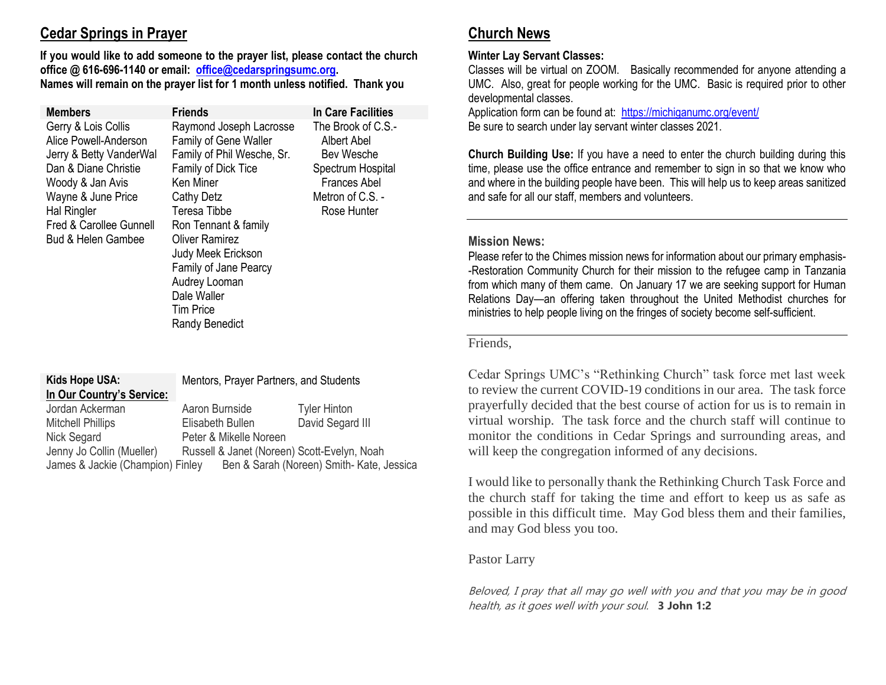# **Cedar Springs in Prayer**

**If you would like to add someone to the prayer list, please contact the church office @ 616-696-1140 or email: [office@cedarspringsumc.org.](mailto:office@cedarspringsumc.org) Names will remain on the prayer list for 1 month unless notified. Thank you**

| <b>Members</b>                                                                                                                                                                                                       | <b>Friends</b>                                                                                                                                                                                                                                                                                                                              | In Care Facilities                                                                                                             |
|----------------------------------------------------------------------------------------------------------------------------------------------------------------------------------------------------------------------|---------------------------------------------------------------------------------------------------------------------------------------------------------------------------------------------------------------------------------------------------------------------------------------------------------------------------------------------|--------------------------------------------------------------------------------------------------------------------------------|
| Gerry & Lois Collis<br>Alice Powell-Anderson<br>Jerry & Betty VanderWal<br>Dan & Diane Christie<br>Woody & Jan Avis<br>Wayne & June Price<br>Hal Ringler<br>Fred & Carollee Gunnell<br><b>Bud &amp; Helen Gambee</b> | Raymond Joseph Lacrosse<br><b>Family of Gene Waller</b><br>Family of Phil Wesche, Sr.<br>Family of Dick Tice<br>Ken Miner<br><b>Cathy Detz</b><br>Teresa Tibbe<br>Ron Tennant & family<br><b>Oliver Ramirez</b><br>Judy Meek Erickson<br>Family of Jane Pearcy<br>Audrey Looman<br>Dale Waller<br><b>Tim Price</b><br><b>Randy Benedict</b> | The Brook of C.S.-<br>Albert Abel<br>Bev Wesche<br>Spectrum Hospital<br><b>Frances Abel</b><br>Metron of C.S. -<br>Rose Hunter |

# **In Our Country's Service:**

**Kids Hope USA:** Mentors, Prayer Partners, and Students

Jordan Ackerman Aaron Burnside Tyler Hinton Mitchell Phillips Elisabeth Bullen David Segard III Nick Segard Peter & Mikelle Noreen Jenny Jo Collin (Mueller) Russell & Janet (Noreen) Scott-Evelyn, Noah James & Jackie (Champion) Finley Ben & Sarah (Noreen) Smith- Kate, Jessica

# **Church News**

## **Winter Lay Servant Classes:**

Classes will be virtual on ZOOM. Basically recommended for anyone attending a UMC. Also, great for people working for the UMC. Basic is required prior to other developmental classes.

Application form can be found at:<https://michiganumc.org/event/> Be sure to search under lay servant winter classes 2021.

**Church Building Use:** If you have a need to enter the church building during this time, please use the office entrance and remember to sign in so that we know who and where in the building people have been. This will help us to keep areas sanitized and safe for all our staff, members and volunteers.

## **Mission News:**

Please refer to the Chimes mission news for information about our primary emphasis- -Restoration Community Church for their mission to the refugee camp in Tanzania from which many of them came. On January 17 we are seeking support for Human Relations Day—an offering taken throughout the United Methodist churches for ministries to help people living on the fringes of society become self-sufficient.

## Friends,

Cedar Springs UMC's "Rethinking Church" task force met last week to review the current COVID-19 conditions in our area. The task force prayerfully decided that the best course of action for us is to remain in virtual worship. The task force and the church staff will continue to monitor the conditions in Cedar Springs and surrounding areas, and will keep the congregation informed of any decisions.

I would like to personally thank the Rethinking Church Task Force and the church staff for taking the time and effort to keep us as safe as possible in this difficult time. May God bless them and their families, and may God bless you too.

# Pastor Larry

Beloved, I pray that all may go well with you and that you may be in good health, as it goes well with your soul. **3 John 1:2**